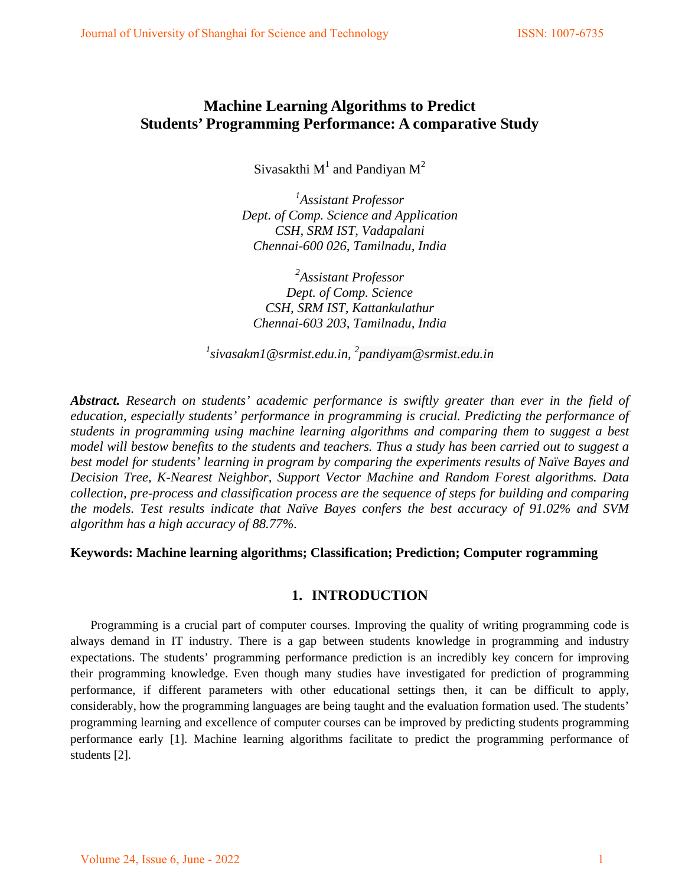# **Machine Learning Algorithms to Predict Students' Programming Performance: A comparative Study**

Sivasakthi  $M^1$  and Pandiyan  $M^2$ 

*1 Assistant Professor Dept. of Comp. Science and Application CSH, SRM IST, Vadapalani Chennai-600 026, Tamilnadu, India* 

*2 Assistant Professor Dept. of Comp. Science CSH, SRM IST, Kattankulathur Chennai-603 203, Tamilnadu, India* 

*1 sivasakm1@srmist.edu.in, <sup>2</sup> pandiyam@srmist.edu.in* 

*Abstract. Research on students' academic performance is swiftly greater than ever in the field of education, especially students' performance in programming is crucial. Predicting the performance of students in programming using machine learning algorithms and comparing them to suggest a best model will bestow benefits to the students and teachers. Thus a study has been carried out to suggest a best model for students' learning in program by comparing the experiments results of Naïve Bayes and Decision Tree, K-Nearest Neighbor, Support Vector Machine and Random Forest algorithms. Data collection, pre-process and classification process are the sequence of steps for building and comparing the models. Test results indicate that Naïve Bayes confers the best accuracy of 91.02% and SVM algorithm has a high accuracy of 88.77%.*

### **Keywords: Machine learning algorithms; Classification; Prediction; Computer rogramming**

### **1. INTRODUCTION**

Programming is a crucial part of computer courses. Improving the quality of writing programming code is always demand in IT industry. There is a gap between students knowledge in programming and industry expectations. The students' programming performance prediction is an incredibly key concern for improving their programming knowledge. Even though many studies have investigated for prediction of programming performance, if different parameters with other educational settings then, it can be difficult to apply, considerably, how the programming languages are being taught and the evaluation formation used. The students' programming learning and excellence of computer courses can be improved by predicting students programming performance early [1]. Machine learning algorithms facilitate to predict the programming performance of students [2].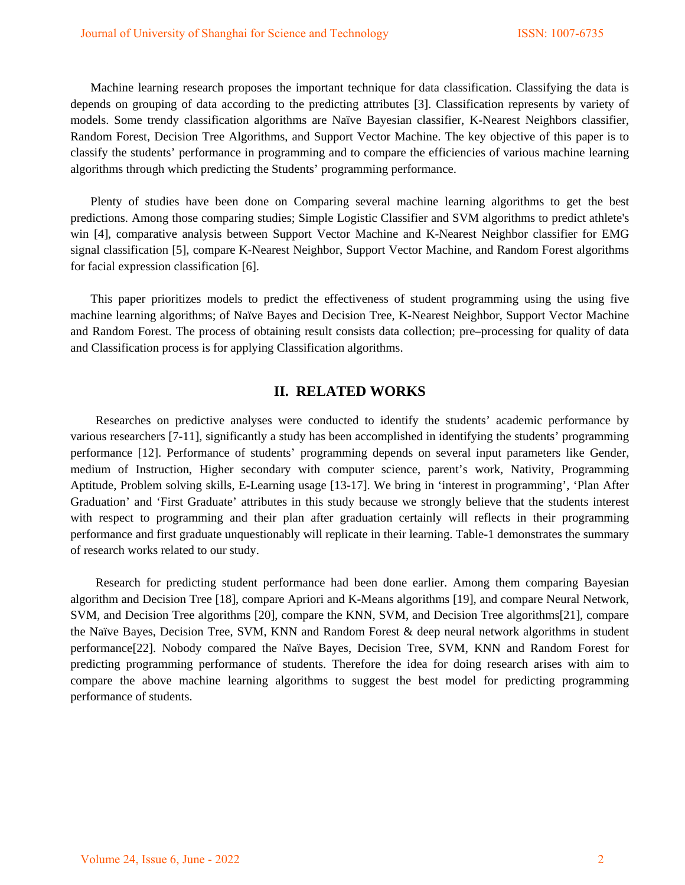Machine learning research proposes the important technique for data classification. Classifying the data is depends on grouping of data according to the predicting attributes [3]. Classification represents by variety of models. Some trendy classification algorithms are Naïve Bayesian classifier, K-Nearest Neighbors classifier, Random Forest, Decision Tree Algorithms, and Support Vector Machine. The key objective of this paper is to classify the students' performance in programming and to compare the efficiencies of various machine learning algorithms through which predicting the Students' programming performance.

Plenty of studies have been done on Comparing several machine learning algorithms to get the best predictions. Among those comparing studies; Simple Logistic Classifier and SVM algorithms to predict athlete's win [4], comparative analysis between Support Vector Machine and K-Nearest Neighbor classifier for EMG signal classification [5], compare K-Nearest Neighbor, Support Vector Machine, and Random Forest algorithms for facial expression classification [6].

This paper prioritizes models to predict the effectiveness of student programming using the using five machine learning algorithms; of Naïve Bayes and Decision Tree, K-Nearest Neighbor, Support Vector Machine and Random Forest. The process of obtaining result consists data collection; pre–processing for quality of data and Classification process is for applying Classification algorithms.

#### **II. RELATED WORKS**

Researches on predictive analyses were conducted to identify the students' academic performance by various researchers [7-11], significantly a study has been accomplished in identifying the students' programming performance [12]. Performance of students' programming depends on several input parameters like Gender, medium of Instruction, Higher secondary with computer science, parent's work, Nativity, Programming Aptitude, Problem solving skills, E-Learning usage [13-17]. We bring in 'interest in programming', 'Plan After Graduation' and 'First Graduate' attributes in this study because we strongly believe that the students interest with respect to programming and their plan after graduation certainly will reflects in their programming performance and first graduate unquestionably will replicate in their learning. Table-1 demonstrates the summary of research works related to our study.

Research for predicting student performance had been done earlier. Among them comparing Bayesian algorithm and Decision Tree [18], compare Apriori and K-Means algorithms [19], and compare Neural Network, SVM, and Decision Tree algorithms [20], compare the KNN, SVM, and Decision Tree algorithms[21], compare the Naïve Bayes, Decision Tree, SVM, KNN and Random Forest & deep neural network algorithms in student performance[22]. Nobody compared the Naïve Bayes, Decision Tree, SVM, KNN and Random Forest for predicting programming performance of students. Therefore the idea for doing research arises with aim to compare the above machine learning algorithms to suggest the best model for predicting programming performance of students.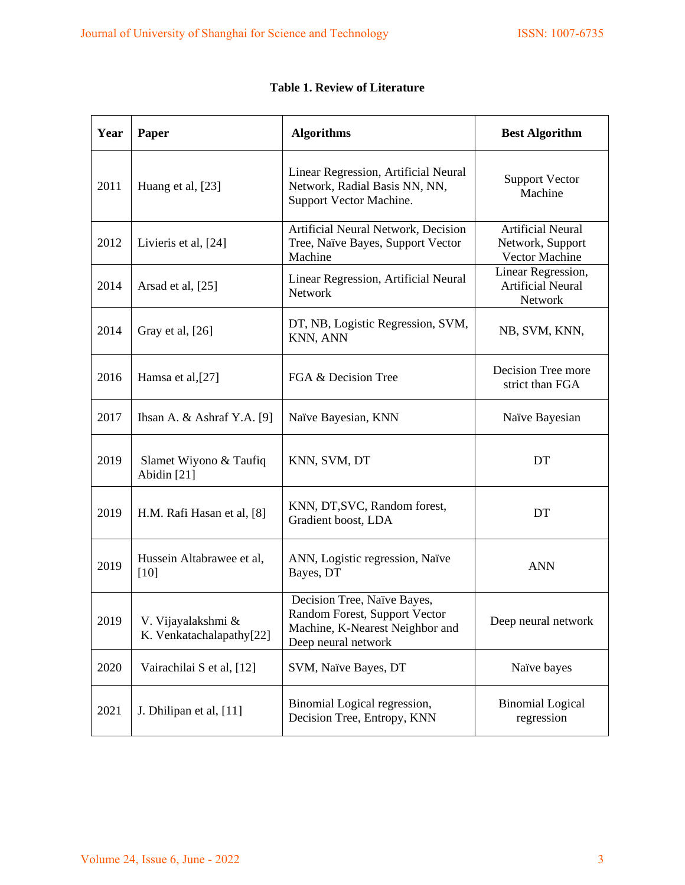| Year | Paper                                          | <b>Algorithms</b>                                                                                                      | <b>Best Algorithm</b>                                          |  |
|------|------------------------------------------------|------------------------------------------------------------------------------------------------------------------------|----------------------------------------------------------------|--|
| 2011 | Huang et al, [23]                              | Linear Regression, Artificial Neural<br>Network, Radial Basis NN, NN,<br>Support Vector Machine.                       | <b>Support Vector</b><br>Machine                               |  |
| 2012 | Livieris et al, [24]                           | Artificial Neural Network, Decision<br>Tree, Naïve Bayes, Support Vector<br>Machine                                    | <b>Artificial Neural</b><br>Network, Support<br>Vector Machine |  |
| 2014 | Arsad et al, [25]                              | Linear Regression, Artificial Neural<br>Network                                                                        | Linear Regression,<br><b>Artificial Neural</b><br>Network      |  |
| 2014 | Gray et al, [26]                               | DT, NB, Logistic Regression, SVM,<br>KNN, ANN                                                                          | NB, SVM, KNN,                                                  |  |
| 2016 | Hamsa et al,[27]                               | FGA & Decision Tree                                                                                                    | Decision Tree more<br>strict than FGA                          |  |
| 2017 | Ihsan A. $&$ Ashraf Y.A. [9]                   | Naïve Bayesian, KNN                                                                                                    | Naïve Bayesian                                                 |  |
| 2019 | Slamet Wiyono & Taufiq<br>Abidin [21]          | KNN, SVM, DT                                                                                                           | DT                                                             |  |
| 2019 | H.M. Rafi Hasan et al, [8]                     | KNN, DT, SVC, Random forest,<br>Gradient boost, LDA                                                                    | DT                                                             |  |
| 2019 | Hussein Altabrawee et al,<br>$[10]$            | ANN, Logistic regression, Naïve<br>Bayes, DT                                                                           | <b>ANN</b>                                                     |  |
| 2019 | V. Vijayalakshmi &<br>K. Venkatachalapathy[22] | Decision Tree, Naïve Bayes,<br>Random Forest, Support Vector<br>Machine, K-Nearest Neighbor and<br>Deep neural network | Deep neural network                                            |  |
| 2020 | Vairachilai S et al, [12]                      | SVM, Naïve Bayes, DT                                                                                                   | Naïve bayes                                                    |  |
| 2021 | J. Dhilipan et al, [11]                        | Binomial Logical regression,<br>Decision Tree, Entropy, KNN                                                            | <b>Binomial Logical</b><br>regression                          |  |

|  |  |  |  | <b>Table 1. Review of Literature</b> |
|--|--|--|--|--------------------------------------|
|--|--|--|--|--------------------------------------|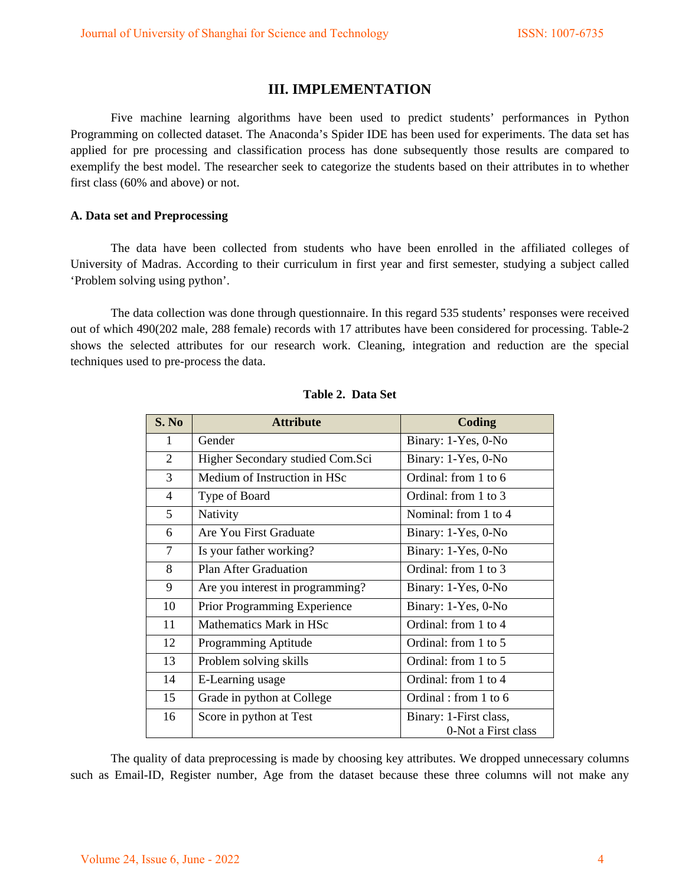# **III. IMPLEMENTATION**

Five machine learning algorithms have been used to predict students' performances in Python Programming on collected dataset. The Anaconda's Spider IDE has been used for experiments. The data set has applied for pre processing and classification process has done subsequently those results are compared to exemplify the best model. The researcher seek to categorize the students based on their attributes in to whether first class (60% and above) or not.

#### **A. Data set and Preprocessing**

The data have been collected from students who have been enrolled in the affiliated colleges of University of Madras. According to their curriculum in first year and first semester, studying a subject called 'Problem solving using python'.

The data collection was done through questionnaire. In this regard 535 students' responses were received out of which 490(202 male, 288 female) records with 17 attributes have been considered for processing. Table-2 shows the selected attributes for our research work. Cleaning, integration and reduction are the special techniques used to pre-process the data.

| S. No          | <b>Attribute</b>                    | Coding                                        |
|----------------|-------------------------------------|-----------------------------------------------|
| 1              | Gender                              | Binary: 1-Yes, 0-No                           |
| $\overline{2}$ | Higher Secondary studied Com.Sci    | Binary: 1-Yes, 0-No                           |
| $\overline{3}$ | Medium of Instruction in HSc        | Ordinal: from 1 to 6                          |
| 4              | Type of Board                       | Ordinal: from 1 to 3                          |
| 5              | Nativity                            | Nominal: from 1 to 4                          |
| 6              | Are You First Graduate              | Binary: 1-Yes, 0-No                           |
| $\overline{7}$ | Is your father working?             | Binary: 1-Yes, 0-No                           |
| 8              | <b>Plan After Graduation</b>        | Ordinal: from 1 to 3                          |
| 9              | Are you interest in programming?    | Binary: 1-Yes, 0-No                           |
| 10             | <b>Prior Programming Experience</b> | Binary: 1-Yes, 0-No                           |
| 11             | Mathematics Mark in HSc             | Ordinal: from 1 to 4                          |
| 12             | Programming Aptitude                | Ordinal: from 1 to 5                          |
| 13             | Problem solving skills              | Ordinal: from 1 to 5                          |
| 14             | E-Learning usage                    | Ordinal: from 1 to 4                          |
| 15             | Grade in python at College          | Ordinal : from 1 to 6                         |
| 16             | Score in python at Test             | Binary: 1-First class,<br>0-Not a First class |

#### **Table 2. Data Set**

The quality of data preprocessing is made by choosing key attributes. We dropped unnecessary columns such as Email-ID, Register number, Age from the dataset because these three columns will not make any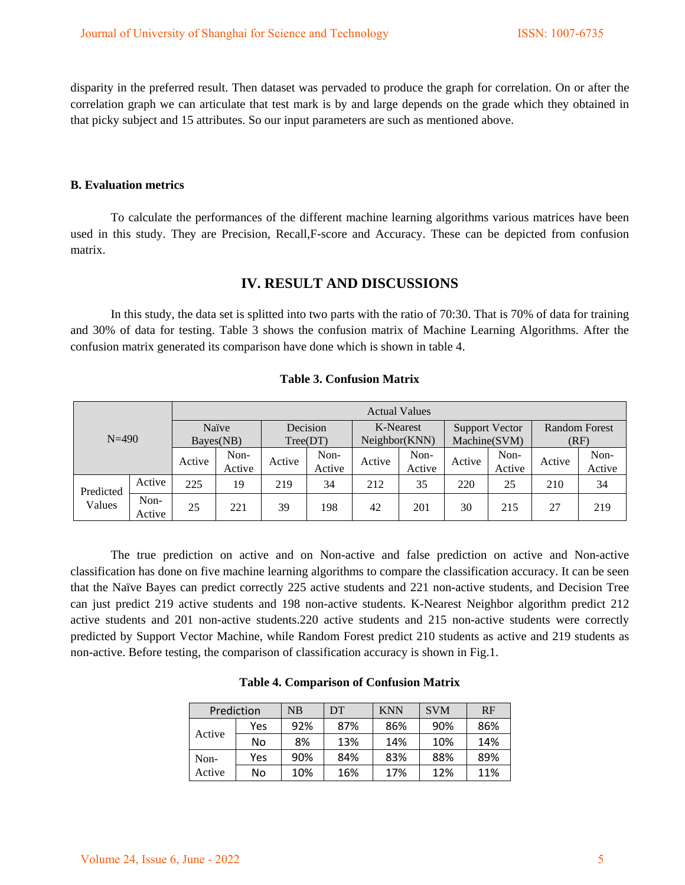disparity in the preferred result. Then dataset was pervaded to produce the graph for correlation. On or after the correlation graph we can articulate that test mark is by and large depends on the grade which they obtained in that picky subject and 15 attributes. So our input parameters are such as mentioned above.

#### **B. Evaluation metrics**

To calculate the performances of the different machine learning algorithms various matrices have been used in this study. They are Precision, Recall,F-score and Accuracy. These can be depicted from confusion matrix.

### **IV. RESULT AND DISCUSSIONS**

In this study, the data set is splitted into two parts with the ratio of 70:30. That is 70% of data for training and 30% of data for testing. Table 3 shows the confusion matrix of Machine Learning Algorithms. After the confusion matrix generated its comparison have done which is shown in table 4.

| $N = 490$           |                | <b>Actual Values</b> |                |                      |                |                            |                |                                       |                |                       |                |
|---------------------|----------------|----------------------|----------------|----------------------|----------------|----------------------------|----------------|---------------------------------------|----------------|-----------------------|----------------|
|                     |                | Naïve<br>Bayes(NB)   |                | Decision<br>Tree(DT) |                | K-Nearest<br>Neighbor(KNN) |                | <b>Support Vector</b><br>Machine(SVM) |                | Random Forest<br>(RF) |                |
|                     |                | Active               | Non-<br>Active | Active               | Non-<br>Active | Active                     | Non-<br>Active | Active                                | Non-<br>Active | Active                | Non-<br>Active |
| Predicted<br>Values | Active         | 225                  | 19             | 219                  | 34             | 212                        | 35             | 220                                   | 25             | 210                   | 34             |
|                     | Non-<br>Active | 25                   | 221            | 39                   | 198            | 42                         | 201            | 30                                    | 215            | 27                    | 219            |

#### **Table 3. Confusion Matrix**

The true prediction on active and on Non-active and false prediction on active and Non-active classification has done on five machine learning algorithms to compare the classification accuracy. It can be seen that the Naïve Bayes can predict correctly 225 active students and 221 non-active students, and Decision Tree can just predict 219 active students and 198 non-active students. K-Nearest Neighbor algorithm predict 212 active students and 201 non-active students.220 active students and 215 non-active students were correctly predicted by Support Vector Machine, while Random Forest predict 210 students as active and 219 students as non-active. Before testing, the comparison of classification accuracy is shown in Fig.1.

| Prediction |     | NB  | DT  | <b>KNN</b> | <b>SVM</b> | RF  |
|------------|-----|-----|-----|------------|------------|-----|
|            | Yes | 92% | 87% | 86%        | 90%        | 86% |
| Active     | No  | 8%  | 13% | 14%        | 10%        | 14% |
| Non-       | Yes | 90% | 84% | 83%        | 88%        | 89% |
| Active     | No  | 10% | 16% | 17%        | 12%        | 11% |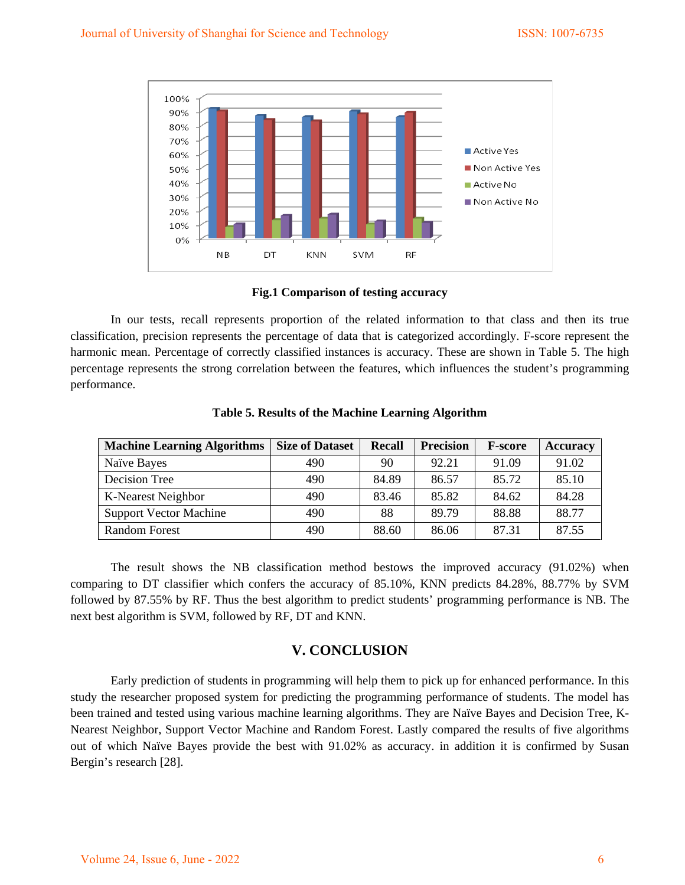

**Fig.1 Comparison of testing accuracy**

In our tests, recall represents proportion of the related information to that class and then its true classification, precision represents the percentage of data that is categorized accordingly. F-score represent the harmonic mean. Percentage of correctly classified instances is accuracy. These are shown in Table 5. The high percentage represents the strong correlation between the features, which influences the student's programming performance.

| <b>Machine Learning Algorithms</b> | <b>Size of Dataset</b> | <b>Recall</b> | <b>Precision</b> | <b>F-score</b> | <b>Accuracy</b> |
|------------------------------------|------------------------|---------------|------------------|----------------|-----------------|
| Naïve Bayes                        | 490                    | 90            | 92.21            | 91.09          | 91.02           |
| Decision Tree                      | 490                    | 84.89         | 86.57            | 85.72          | 85.10           |
| K-Nearest Neighbor                 | 490                    | 83.46         | 85.82            | 84.62          | 84.28           |
| <b>Support Vector Machine</b>      | 490                    | 88            | 89.79            | 88.88          | 88.77           |
| Random Forest                      | 490                    | 88.60         | 86.06            | 87 31          | 87.55           |

**Table 5. Results of the Machine Learning Algorithm**

The result shows the NB classification method bestows the improved accuracy (91.02%) when comparing to DT classifier which confers the accuracy of 85.10%, KNN predicts 84.28%, 88.77% by SVM followed by 87.55% by RF. Thus the best algorithm to predict students' programming performance is NB. The next best algorithm is SVM, followed by RF, DT and KNN.

# **V. CONCLUSION**

Early prediction of students in programming will help them to pick up for enhanced performance. In this study the researcher proposed system for predicting the programming performance of students. The model has been trained and tested using various machine learning algorithms. They are Naïve Bayes and Decision Tree, K-Nearest Neighbor, Support Vector Machine and Random Forest. Lastly compared the results of five algorithms out of which Naïve Bayes provide the best with 91.02% as accuracy. in addition it is confirmed by Susan Bergin's research [28].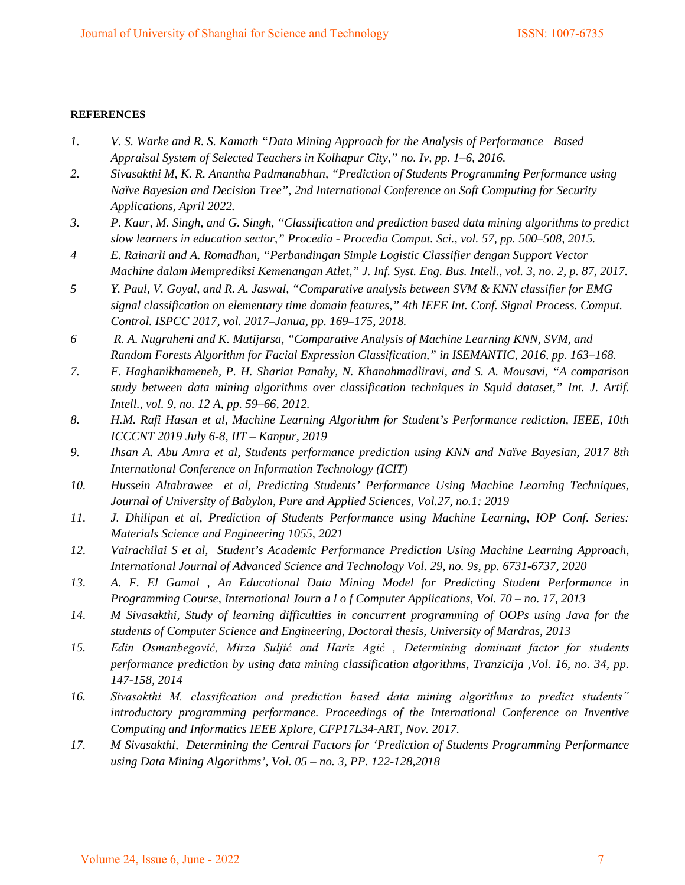#### **REFERENCES**

- *1. V. S. Warke and R. S. Kamath "Data Mining Approach for the Analysis of Performance Based Appraisal System of Selected Teachers in Kolhapur City," no. Iv, pp. 1–6, 2016.*
- *2. Sivasakthi M, K. R. Anantha Padmanabhan, "Prediction of Students Programming Performance using Naïve Bayesian and Decision Tree", 2nd International Conference on Soft Computing for Security Applications, April 2022.*
- *3. P. Kaur, M. Singh, and G. Singh, "Classification and prediction based data mining algorithms to predict slow learners in education sector," Procedia - Procedia Comput. Sci., vol. 57, pp. 500–508, 2015.*
- *4 E. Rainarli and A. Romadhan, "Perbandingan Simple Logistic Classifier dengan Support Vector Machine dalam Memprediksi Kemenangan Atlet," J. Inf. Syst. Eng. Bus. Intell., vol. 3, no. 2, p. 87, 2017.*
- *5 Y. Paul, V. Goyal, and R. A. Jaswal, "Comparative analysis between SVM & KNN classifier for EMG signal classification on elementary time domain features," 4th IEEE Int. Conf. Signal Process. Comput. Control. ISPCC 2017, vol. 2017–Janua, pp. 169–175, 2018.*
- *6 R. A. Nugraheni and K. Mutijarsa, "Comparative Analysis of Machine Learning KNN, SVM, and Random Forests Algorithm for Facial Expression Classification," in ISEMANTIC, 2016, pp. 163–168.*
- *7. F. Haghanikhameneh, P. H. Shariat Panahy, N. Khanahmadliravi, and S. A. Mousavi, "A comparison study between data mining algorithms over classification techniques in Squid dataset," Int. J. Artif. Intell., vol. 9, no. 12 A, pp. 59–66, 2012.*
- *8. H.M. Rafi Hasan et al, Machine Learning Algorithm for Student's Performance rediction, IEEE, 10th ICCCNT 2019 July 6-8, IIT – Kanpur, 2019*
- *9. Ihsan A. Abu Amra et al, Students performance prediction using KNN and Naïve Bayesian, 2017 8th International Conference on Information Technology (ICIT)*
- *10. Hussein Altabrawee et al, Predicting Students' Performance Using Machine Learning Techniques, Journal of University of Babylon, Pure and Applied Sciences, Vol.27, no.1: 2019*
- *11. J. Dhilipan et al, Prediction of Students Performance using Machine Learning, IOP Conf. Series: Materials Science and Engineering 1055, 2021*
- *12. Vairachilai S et al, Student's Academic Performance Prediction Using Machine Learning Approach, International Journal of Advanced Science and Technology Vol. 29, no. 9s, pp. 6731-6737, 2020*
- *13. A. F. El Gamal , An Educational Data Mining Model for Predicting Student Performance in Programming Course, International Journ a l o f Computer Applications, Vol. 70 – no. 17, 2013*
- *14. M Sivasakthi, Study of learning difficulties in concurrent programming of OOPs using Java for the students of Computer Science and Engineering, Doctoral thesis, University of Mardras, 2013*
- *15. Edin Osmanbegović, Mirza Suljić and Hariz Agić , Determining dominant factor for students performance prediction by using data mining classification algorithms, [Tranzicija](https://hrcak.srce.hr/tranzicija) [,Vol. 16, no. 34,](https://hrcak.srce.hr/broj/10809) pp. 147-158, 2014*
- *16. Sivasakthi M. classification and prediction based data mining algorithms to predict students" introductory programming performance. Proceedings of the International Conference on Inventive Computing and Informatics IEEE Xplore, CFP17L34-ART, Nov. 2017.*
- *17. M Sivasakthi, Determining the Central Factors for 'Prediction of Students Programming Performance using Data Mining Algorithms', Vol. 05 – no. 3, PP. 122-128,2018*